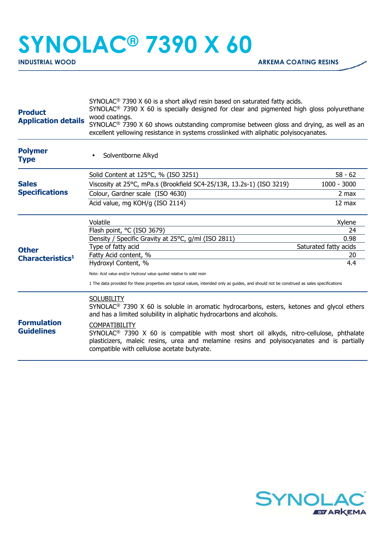## **SYNOLAC® 7390 X 60**

| SYNOLAC <sup>®</sup> 7390 X 60 is a short alkyd resin based on saturated fatty acids.<br>SYNOLAC <sup>®</sup> 7390 X 60 is specially designed for clear and pigmented high gloss polyurethane<br>wood coatings.<br>SYNOLAC <sup>®</sup> 7390 X 60 shows outstanding compromise between gloss and drying, as well as an<br>excellent yellowing resistance in systems crosslinked with aliphatic polyisocyanates. |                                                                    |
|-----------------------------------------------------------------------------------------------------------------------------------------------------------------------------------------------------------------------------------------------------------------------------------------------------------------------------------------------------------------------------------------------------------------|--------------------------------------------------------------------|
| Solventborne Alkyd                                                                                                                                                                                                                                                                                                                                                                                              |                                                                    |
| Solid Content at 125°C, % (ISO 3251)                                                                                                                                                                                                                                                                                                                                                                            | $58 - 62$                                                          |
| Viscosity at 25°C, mPa.s (Brookfield SC4-25/13R, 13.2s-1) (ISO 3219)                                                                                                                                                                                                                                                                                                                                            | $1000 - 3000$                                                      |
| Colour, Gardner scale (ISO 4630)                                                                                                                                                                                                                                                                                                                                                                                | 2 max                                                              |
| Acid value, mg KOH/g (ISO 2114)                                                                                                                                                                                                                                                                                                                                                                                 | 12 max                                                             |
| Volatile                                                                                                                                                                                                                                                                                                                                                                                                        | Xylene                                                             |
| Flash point, °C (ISO 3679)                                                                                                                                                                                                                                                                                                                                                                                      | 24                                                                 |
| Density / Specific Gravity at 25°C, g/ml (ISO 2811)                                                                                                                                                                                                                                                                                                                                                             | 0.98                                                               |
| Saturated fatty acids                                                                                                                                                                                                                                                                                                                                                                                           |                                                                    |
|                                                                                                                                                                                                                                                                                                                                                                                                                 | 20                                                                 |
|                                                                                                                                                                                                                                                                                                                                                                                                                 | 4.4                                                                |
| Note: Acid value and/or Hydroxyl value quoted relative to solid resin<br>1 The data provided for these properties are typical values, intended only as guides, and should not be construed as sales specifications                                                                                                                                                                                              |                                                                    |
| <b>SOLUBILITY</b><br>SYNOLAC <sup>®</sup> 7390 X 60 is soluble in aromatic hydrocarbons, esters, ketones and glycol ethers<br>and has a limited solubility in aliphatic hydrocarbons and alcohols.                                                                                                                                                                                                              |                                                                    |
| <b>COMPATIBILITY</b><br>SYNOLAC <sup>®</sup> 7390 X 60 is compatible with most short oil alkyds, nitro-cellulose, phthalate<br>plasticizers, maleic resins, urea and melamine resins and polyisocyanates and is partially<br>compatible with cellulose acetate butyrate.                                                                                                                                        |                                                                    |
|                                                                                                                                                                                                                                                                                                                                                                                                                 | Type of fatty acid<br>Fatty Acid content, %<br>Hydroxyl Content, % |